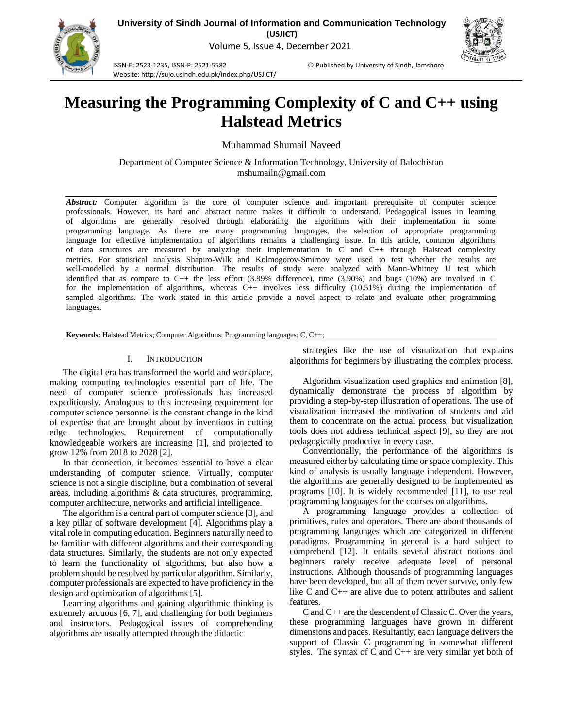

**University of Sindh Journal of Information and Communication Technology (USJICT)** Volume 5, Issue 4, December 2021

ISSN-E: 2523-1235, ISSN-P: 2521-5582 © Published by University of Sindh, Jamshoro Website: http://sujo.usindh.edu.pk/index.php/USJICT/

# **Measuring the Programming Complexity of C and C++ using Halstead Metrics**

Muhammad Shumail Naveed

Department of Computer Science & Information Technology, University of Balochistan mshumailn@gmail.com

*Abstract:* Computer algorithm is the core of computer science and important prerequisite of computer science professionals. However, its hard and abstract nature makes it difficult to understand. Pedagogical issues in learning of algorithms are generally resolved through elaborating the algorithms with their implementation in some programming language. As there are many programming languages, the selection of appropriate programming language for effective implementation of algorithms remains a challenging issue. In this article, common algorithms of data structures are measured by analyzing their implementation in C and C++ through Halstead complexity metrics. For statistical analysis Shapiro-Wilk and Kolmogorov-Smirnov were used to test whether the results are well-modelled by a normal distribution. The results of study were analyzed with Mann-Whitney U test which identified that as compare to C++ the less effort (3.99% difference), time (3.90%) and bugs (10%) are involved in C for the implementation of algorithms, whereas C++ involves less difficulty (10.51%) during the implementation of sampled algorithms. The work stated in this article provide a novel aspect to relate and evaluate other programming languages.

**Keywords:** Halstead Metrics; Computer Algorithms; Programming languages; C, C++;

### I. INTRODUCTION

The digital era has transformed the world and workplace, making computing technologies essential part of life. The need of computer science professionals has increased expeditiously. Analogous to this increasing requirement for computer science personnel is the constant change in the kind of expertise that are brought about by inventions in cutting edge technologies. Requirement of computationally knowledgeable workers are increasing [1], and projected to grow 12% from 2018 to 2028 [2].

In that connection, it becomes essential to have a clear understanding of computer science. Virtually, computer science is not a single discipline, but a combination of several areas, including algorithms & data structures, programming, computer architecture, networks and artificial intelligence.

The algorithm is a central part of computer science [3], and a key pillar of software development [4]. Algorithms play a vital role in computing education. Beginners naturally need to be familiar with different algorithms and their corresponding data structures. Similarly, the students are not only expected to learn the functionality of algorithms, but also how a problem should be resolved by particular algorithm. Similarly, computer professionals are expected to have proficiency in the design and optimization of algorithms [5].

Learning algorithms and gaining algorithmic thinking is extremely arduous [6, 7], and challenging for both beginners and instructors. Pedagogical issues of comprehending algorithms are usually attempted through the didactic

strategies like the use of visualization that explains algorithms for beginners by illustrating the complex process.

Algorithm visualization used graphics and animation [8], dynamically demonstrate the process of algorithm by providing a step-by-step illustration of operations. The use of visualization increased the motivation of students and aid them to concentrate on the actual process, but visualization tools does not address technical aspect [9], so they are not pedagogically productive in every case.

Conventionally, the performance of the algorithms is measured either by calculating time or space complexity. This kind of analysis is usually language independent. However, the algorithms are generally designed to be implemented as programs [10]. It is widely recommended [11], to use real programming languages for the courses on algorithms.

A programming language provides a collection of primitives, rules and operators. There are about thousands of programming languages which are categorized in different paradigms. Programming in general is a hard subject to comprehend [12]. It entails several abstract notions and beginners rarely receive adequate level of personal instructions. Although thousands of programming languages have been developed, but all of them never survive, only few like C and C++ are alive due to potent attributes and salient features.

C and C++ are the descendent of Classic C. Over the years, these programming languages have grown in different dimensions and paces. Resultantly, each language delivers the support of Classic C programming in somewhat different styles. The syntax of C and  $C_{++}$  are very similar yet both of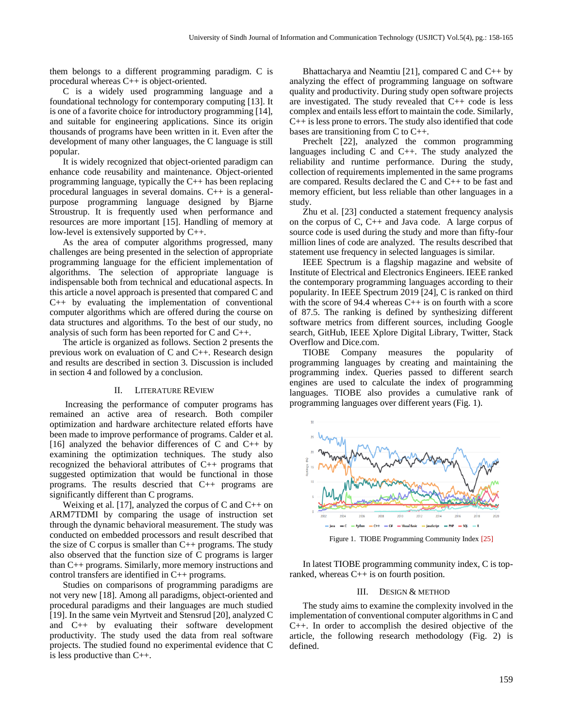them belongs to a different programming paradigm. C is procedural whereas C++ is object-oriented.

C is a widely used programming language and a foundational technology for contemporary computing [13]. It is one of a favorite choice for introductory programming [14], and suitable for engineering applications. Since its origin thousands of programs have been written in it. Even after the development of many other languages, the C language is still popular.

It is widely recognized that object-oriented paradigm can enhance code reusability and maintenance. Object-oriented programming language, typically the C++ has been replacing procedural languages in several domains. C++ is a generalpurpose programming language designed by Bjarne Stroustrup. It is frequently used when performance and resources are more important [15]. Handling of memory at low-level is extensively supported by C++.

As the area of computer algorithms progressed, many challenges are being presented in the selection of appropriate programming language for the efficient implementation of algorithms. The selection of appropriate language is indispensable both from technical and educational aspects. In this article a novel approach is presented that compared C and C++ by evaluating the implementation of conventional computer algorithms which are offered during the course on data structures and algorithms. To the best of our study, no analysis of such form has been reported for C and C++.

The article is organized as follows. Section 2 presents the previous work on evaluation of C and C++. Research design and results are described in section 3. Discussion is included in section 4 and followed by a conclusion.

#### II. LITERATURE REVIEW

Increasing the performance of computer programs has remained an active area of research. Both compiler optimization and hardware architecture related efforts have been made to improve performance of programs. Calder et al. [16] analyzed the behavior differences of C and C++ by examining the optimization techniques. The study also recognized the behavioral attributes of C++ programs that suggested optimization that would be functional in those programs. The results descried that C++ programs are significantly different than C programs.

Weixing et al. [17], analyzed the corpus of  $C$  and  $C_{++}$  on ARM7TDMI by comparing the usage of instruction set through the dynamic behavioral measurement. The study was conducted on embedded processors and result described that the size of C corpus is smaller than C++ programs. The study also observed that the function size of C programs is larger than C++ programs. Similarly, more memory instructions and control transfers are identified in C++ programs.

Studies on comparisons of programming paradigms are not very new [18]. Among all paradigms, object-oriented and procedural paradigms and their languages are much studied [19]. In the same vein Myrtveit and Stensrud [20], analyzed C and C++ by evaluating their software development productivity. The study used the data from real software projects. The studied found no experimental evidence that C is less productive than C++.

Bhattacharya and Neamtiu [21], compared C and C++ by analyzing the effect of programming language on software quality and productivity. During study open software projects are investigated. The study revealed that C++ code is less complex and entails less effort to maintain the code. Similarly, C++ is less prone to errors. The study also identified that code bases are transitioning from C to C++.

Prechelt [22], analyzed the common programming languages including C and C++. The study analyzed the reliability and runtime performance. During the study, collection of requirements implemented in the same programs are compared. Results declared the C and C++ to be fast and memory efficient, but less reliable than other languages in a study.

Zhu et al. [23] conducted a statement frequency analysis on the corpus of C, C++ and Java code. A large corpus of source code is used during the study and more than fifty-four million lines of code are analyzed. The results described that statement use frequency in selected languages is similar.

IEEE Spectrum is a flagship magazine and website of Institute of Electrical and Electronics Engineers. IEEE ranked the contemporary programming languages according to their popularity. In IEEE Spectrum 2019 [24], C is ranked on third with the score of 94.4 whereas C++ is on fourth with a score of 87.5. The ranking is defined by synthesizing different software metrics from different sources, including Google search, GitHub, IEEE Xplore Digital Library, Twitter, Stack Overflow and Dice.com.

TIOBE Company measures the popularity of programming languages by creating and maintaining the programming index. Queries passed to different search engines are used to calculate the index of programming languages. TIOBE also provides a cumulative rank of programming languages over different years (Fig. 1).



Figure 1. TIOBE Programming Community Index [25]

In latest TIOBE programming community index, C is topranked, whereas C++ is on fourth position.

### III. DESIGN & METHOD

The study aims to examine the complexity involved in the implementation of conventional computer algorithms in C and C++. In order to accomplish the desired objective of the article, the following research methodology (Fig. 2) is defined.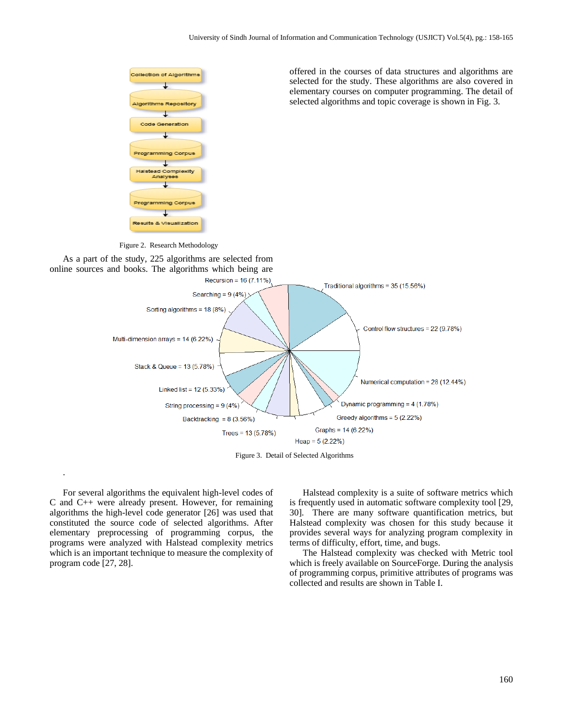offered in the courses of data structures and algorithms are selected for the study. These algorithms are also covered in elementary courses on computer programming. The detail of selected algorithms and topic coverage is shown in Fig. 3.



Figure 2. Research Methodology





Figure 3. Detail of Selected Algorithms

For several algorithms the equivalent high-level codes of C and C++ were already present. However, for remaining algorithms the high-level code generator [26] was used that constituted the source code of selected algorithms. After elementary preprocessing of programming corpus, the programs were analyzed with Halstead complexity metrics which is an important technique to measure the complexity of program code [27, 28].

.

Halstead complexity is a suite of software metrics which is frequently used in automatic software complexity tool [29, 30]. There are many software quantification metrics, but Halstead complexity was chosen for this study because it provides several ways for analyzing program complexity in terms of difficulty, effort, time, and bugs.

The Halstead complexity was checked with Metric tool which is freely available on SourceForge. During the analysis of programming corpus, primitive attributes of programs was collected and results are shown in Table I.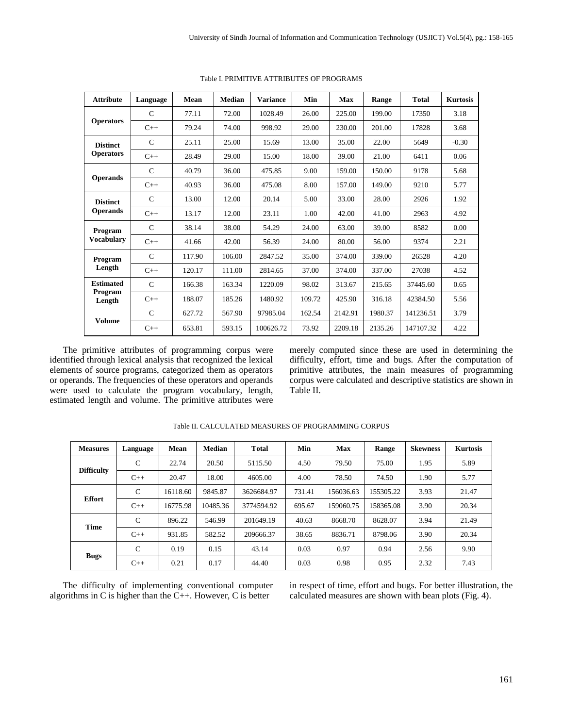| <b>Attribute</b>                      | Language      | Mean   | Median | <b>Variance</b> | Min    | <b>Max</b> | Range   | <b>Total</b> | <b>Kurtosis</b> |
|---------------------------------------|---------------|--------|--------|-----------------|--------|------------|---------|--------------|-----------------|
| <b>Operators</b>                      | $\mathcal{C}$ | 77.11  | 72.00  | 1028.49         | 26.00  | 225.00     | 199.00  | 17350        | 3.18            |
|                                       | $C++$         | 79.24  | 74.00  | 998.92          | 29.00  | 230.00     | 201.00  | 17828        | 3.68            |
| <b>Distinct</b>                       | $\mathcal{C}$ | 25.11  | 25.00  | 15.69           | 13.00  | 35.00      | 22.00   | 5649         | $-0.30$         |
| <b>Operators</b>                      | $C++$         | 28.49  | 29.00  | 15.00           | 18.00  | 39.00      | 21.00   | 6411         | 0.06            |
|                                       | $\mathcal{C}$ | 40.79  | 36.00  | 475.85          | 9.00   | 159.00     | 150.00  | 9178         | 5.68            |
| <b>Operands</b>                       | $C++$         | 40.93  | 36.00  | 475.08          | 8.00   | 157.00     | 149.00  | 9210         | 5.77            |
| <b>Distinct</b><br><b>Operands</b>    | $\mathcal{C}$ | 13.00  | 12.00  | 20.14           | 5.00   | 33.00      | 28.00   | 2926         | 1.92            |
|                                       | $C++$         | 13.17  | 12.00  | 23.11           | 1.00   | 42.00      | 41.00   | 2963         | 4.92            |
| Program<br><b>Vocabulary</b>          | $\mathcal{C}$ | 38.14  | 38.00  | 54.29           | 24.00  | 63.00      | 39.00   | 8582         | 0.00            |
|                                       | $C++$         | 41.66  | 42.00  | 56.39           | 24.00  | 80.00      | 56.00   | 9374         | 2.21            |
| Program<br>Length                     | $\mathcal{C}$ | 117.90 | 106.00 | 2847.52         | 35.00  | 374.00     | 339.00  | 26528        | 4.20            |
|                                       | $C++$         | 120.17 | 111.00 | 2814.65         | 37.00  | 374.00     | 337.00  | 27038        | 4.52            |
| <b>Estimated</b><br>Program<br>Length | $\mathcal{C}$ | 166.38 | 163.34 | 1220.09         | 98.02  | 313.67     | 215.65  | 37445.60     | 0.65            |
|                                       | $C++$         | 188.07 | 185.26 | 1480.92         | 109.72 | 425.90     | 316.18  | 42384.50     | 5.56            |
| <b>Volume</b>                         | $\mathcal{C}$ | 627.72 | 567.90 | 97985.04        | 162.54 | 2142.91    | 1980.37 | 141236.51    | 3.79            |
|                                       | $C++$         | 653.81 | 593.15 | 100626.72       | 73.92  | 2209.18    | 2135.26 | 147107.32    | 4.22            |

Table I. PRIMITIVE ATTRIBUTES OF PROGRAMS

The primitive attributes of programming corpus were identified through lexical analysis that recognized the lexical elements of source programs, categorized them as operators or operands. The frequencies of these operators and operands were used to calculate the program vocabulary, length, estimated length and volume. The primitive attributes were

merely computed since these are used in determining the difficulty, effort, time and bugs. After the computation of primitive attributes, the main measures of programming corpus were calculated and descriptive statistics are shown in Table II.

| <b>Measures</b>   | Language      | <b>Mean</b> | <b>Median</b> | Total      | Min    | <b>Max</b> | Range     | <b>Skewness</b> | <b>Kurtosis</b> |
|-------------------|---------------|-------------|---------------|------------|--------|------------|-----------|-----------------|-----------------|
| <b>Difficulty</b> | $\mathcal{C}$ | 22.74       | 20.50         | 5115.50    | 4.50   | 79.50      | 75.00     | 1.95            | 5.89            |
|                   | $C++$         | 20.47       | 18.00         | 4605.00    | 4.00   | 78.50      | 74.50     | 1.90            | 5.77            |
| <b>Effort</b>     | $\mathcal{C}$ | 16118.60    | 9845.87       | 3626684.97 | 731.41 | 156036.63  | 155305.22 | 3.93            | 21.47           |
|                   | $C++$         | 16775.98    | 10485.36      | 3774594.92 | 695.67 | 159060.75  | 158365.08 | 3.90            | 20.34           |
| <b>Time</b>       | $\mathcal{C}$ | 896.22      | 546.99        | 201649.19  | 40.63  | 8668.70    | 8628.07   | 3.94            | 21.49           |
|                   | $C++$         | 931.85      | 582.52        | 209666.37  | 38.65  | 8836.71    | 8798.06   | 3.90            | 20.34           |
| <b>Bugs</b>       | $\mathcal{C}$ | 0.19        | 0.15          | 43.14      | 0.03   | 0.97       | 0.94      | 2.56            | 9.90            |
|                   | $C++$         | 0.21        | 0.17          | 44.40      | 0.03   | 0.98       | 0.95      | 2.32            | 7.43            |

| Table II. CALCULATED MEASURES OF PROGRAMMING CORPUS |  |  |  |
|-----------------------------------------------------|--|--|--|
|-----------------------------------------------------|--|--|--|

The difficulty of implementing conventional computer algorithms in C is higher than the C++. However, C is better

in respect of time, effort and bugs. For better illustration, the calculated measures are shown with bean plots (Fig. 4).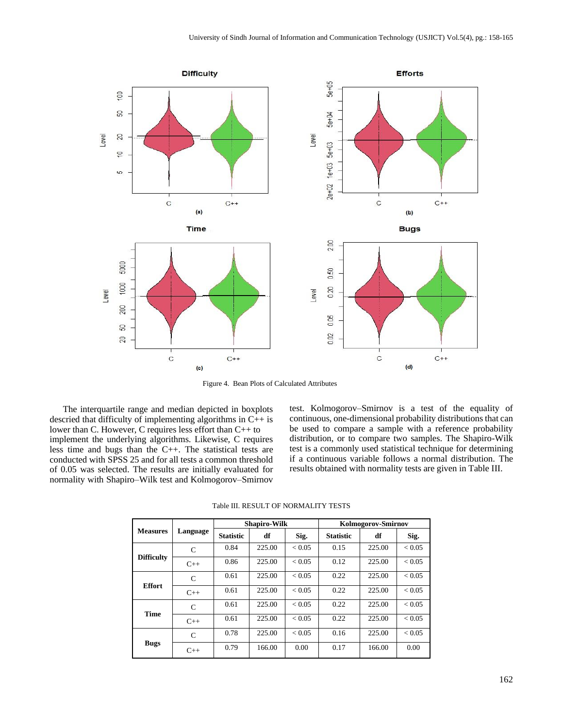

Figure 4. Bean Plots of Calculated Attributes

The interquartile range and median depicted in boxplots descried that difficulty of implementing algorithms in  $C_{++}$  is lower than C. However, C requires less effort than C++ to implement the underlying algorithms. Likewise, C requires less time and bugs than the C++. The statistical tests are conducted with SPSS 25 and for all tests a common threshold of 0.05 was selected. The results are initially evaluated for normality with Shapiro–Wilk test and Kolmogorov–Smirnov

test. Kolmogorov–Smirnov is a test of the equality of continuous, one-dimensional probability distributions that can be used to compare a sample with a reference probability distribution, or to compare two samples. The Shapiro-Wilk test is a commonly used statistical technique for determining if a continuous variable follows a normal distribution. The results obtained with normality tests are given in Table III.

|                   |               |                  | <b>Shapiro-Wilk</b> |            | <b>Kolmogorov-Smirnov</b> |        |               |  |
|-------------------|---------------|------------------|---------------------|------------|---------------------------|--------|---------------|--|
| <b>Measures</b>   | Language      | <b>Statistic</b> | df                  | Sig.       | <b>Statistic</b>          | df     | Sig.          |  |
| <b>Difficulty</b> | $\mathcal{C}$ | 0.84             | 225.00              | < 0.05     | 0.15                      | 225.00 | ${}_{< 0.05}$ |  |
|                   | $C++$         | 0.86             | 225.00              | < 0.05     | 0.12                      | 225.00 | ${}_{< 0.05}$ |  |
| <b>Effort</b>     | $\mathsf{C}$  | 0.61             | 225.00              | < 0.05     | 0.22                      | 225.00 | ${}_{< 0.05}$ |  |
|                   | $C++$         | 0.61             | 225.00              | < 0.05     | 0.22                      | 225.00 | ${}_{< 0.05}$ |  |
| <b>Time</b>       | C             | 0.61             | 225.00              | < 0.05     | 0.22                      | 225.00 | ${}_{< 0.05}$ |  |
|                   | $C++$         | 0.61             | 225.00              | ${}< 0.05$ | 0.22                      | 225.00 | ${}_{< 0.05}$ |  |
| <b>Bugs</b>       | $\mathcal{C}$ | 0.78             | 225.00              | < 0.05     | 0.16                      | 225.00 | ${}_{< 0.05}$ |  |
|                   | $C++$         | 0.79             | 166.00              | 0.00       | 0.17                      | 166.00 | 0.00          |  |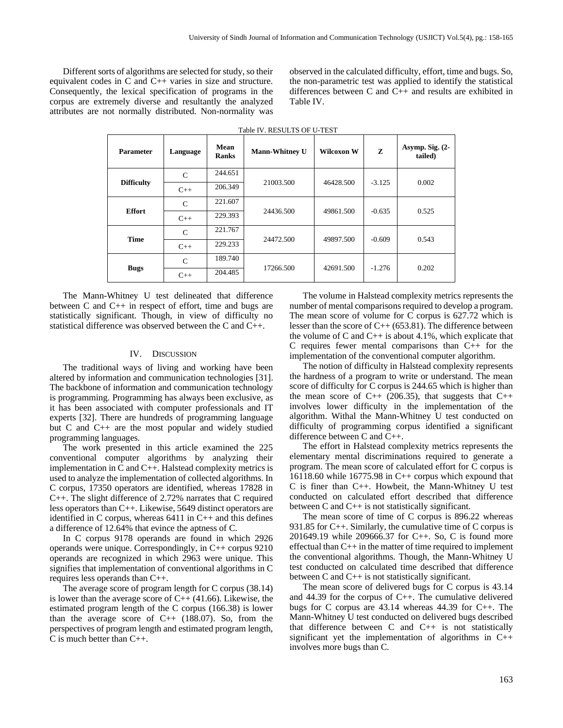Different sorts of algorithms are selected for study, so their equivalent codes in C and C++ varies in size and structure. Consequently, the lexical specification of programs in the corpus are extremely diverse and resultantly the analyzed attributes are not normally distributed. Non-normality was observed in the calculated difficulty, effort, time and bugs. So, the non-parametric test was applied to identify the statistical differences between C and C++ and results are exhibited in Table IV.

| <b>Parameter</b>  | Language      | Mean<br><b>Ranks</b> | <b>Mann-Whitney U</b> | Wilcoxon W | Z        | Asymp. Sig. $(2-$<br>tailed) |
|-------------------|---------------|----------------------|-----------------------|------------|----------|------------------------------|
| <b>Difficulty</b> | $\mathcal{C}$ | 244.651              | 21003.500             | 46428.500  | $-3.125$ | 0.002                        |
|                   | $C++$         | 206.349              |                       |            |          |                              |
| <b>Effort</b>     | $\mathsf{C}$  | 221.607              |                       | 49861.500  | $-0.635$ | 0.525                        |
|                   | $C++$         | 229.393              | 24436.500             |            |          |                              |
| <b>Time</b>       | $\mathbf C$   | 221.767              |                       |            | $-0.609$ | 0.543                        |
|                   | $C++$         | 229.233              | 24472.500             | 49897.500  |          |                              |
| <b>Bugs</b>       | $\mathsf{C}$  | 189.740              |                       |            | $-1.276$ |                              |
|                   | $C++$         | 204.485              | 17266.500             | 42691.500  |          | 0.202                        |

Table IV. RESULTS OF U-TEST

The Mann-Whitney U test delineated that difference between C and C++ in respect of effort, time and bugs are statistically significant. Though, in view of difficulty no statistical difference was observed between the C and C++.

### IV. DISCUSSION

The traditional ways of living and working have been altered by information and communication technologies [31]. The backbone of information and communication technology is programming. Programming has always been exclusive, as it has been associated with computer professionals and IT experts [32]. There are hundreds of programming language but C and C++ are the most popular and widely studied programming languages.

The work presented in this article examined the 225 conventional computer algorithms by analyzing their implementation in C and C++. Halstead complexity metrics is used to analyze the implementation of collected algorithms. In C corpus, 17350 operators are identified, whereas 17828 in C++. The slight difference of 2.72% narrates that C required less operators than C++. Likewise, 5649 distinct operators are identified in C corpus, whereas 6411 in C++ and this defines a difference of 12.64% that evince the aptness of C.

In C corpus 9178 operands are found in which 2926 operands were unique. Correspondingly, in C++ corpus 9210 operands are recognized in which 2963 were unique. This signifies that implementation of conventional algorithms in C requires less operands than C++.

The average score of program length for C corpus (38.14) is lower than the average score of  $C_{++}$  (41.66). Likewise, the estimated program length of the C corpus (166.38) is lower than the average score of  $C_{++}$  (188.07). So, from the perspectives of program length and estimated program length, C is much better than C++.

The volume in Halstead complexity metrics represents the number of mental comparisons required to develop a program. The mean score of volume for C corpus is 627.72 which is lesser than the score of  $C++ (653.81)$ . The difference between the volume of C and  $C_{++}$  is about 4.1%, which explicate that C requires fewer mental comparisons than C++ for the implementation of the conventional computer algorithm.

The notion of difficulty in Halstead complexity represents the hardness of a program to write or understand. The mean score of difficulty for C corpus is 244.65 which is higher than the mean score of  $C++$  (206.35), that suggests that  $C++$ involves lower difficulty in the implementation of the algorithm. Withal the Mann-Whitney U test conducted on difficulty of programming corpus identified a significant difference between C and C++.

The effort in Halstead complexity metrics represents the elementary mental discriminations required to generate a program. The mean score of calculated effort for C corpus is 16118.60 while  $16775.98$  in C++ corpus which expound that C is finer than C++. Howbeit, the Mann-Whitney U test conducted on calculated effort described that difference between C and C++ is not statistically significant.

The mean score of time of C corpus is 896.22 whereas 931.85 for C++. Similarly, the cumulative time of C corpus is 201649.19 while 209666.37 for C++. So, C is found more effectual than C++ in the matter of time required to implement the conventional algorithms. Though, the Mann-Whitney U test conducted on calculated time described that difference between C and C++ is not statistically significant.

The mean score of delivered bugs for C corpus is 43.14 and 44.39 for the corpus of C++. The cumulative delivered bugs for C corpus are 43.14 whereas 44.39 for C++. The Mann-Whitney U test conducted on delivered bugs described that difference between C and C++ is not statistically significant yet the implementation of algorithms in C++ involves more bugs than C.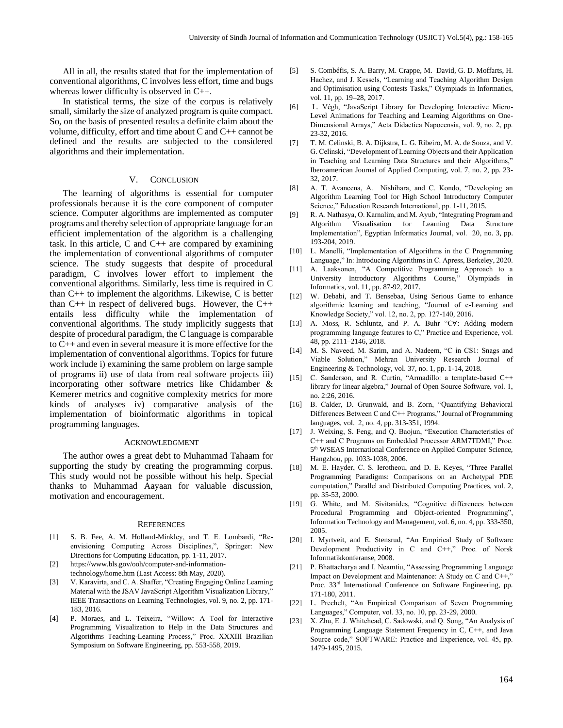All in all, the results stated that for the implementation of conventional algorithms, C involves less effort, time and bugs whereas lower difficulty is observed in C++.

In statistical terms, the size of the corpus is relatively small, similarly the size of analyzed program is quite compact. So, on the basis of presented results a definite claim about the volume, difficulty, effort and time about C and C++ cannot be defined and the results are subjected to the considered algorithms and their implementation.

# V. CONCLUSION

The learning of algorithms is essential for computer professionals because it is the core component of computer science. Computer algorithms are implemented as computer programs and thereby selection of appropriate language for an efficient implementation of the algorithm is a challenging task. In this article, C and  $C_{++}$  are compared by examining the implementation of conventional algorithms of computer science. The study suggests that despite of procedural paradigm, C involves lower effort to implement the conventional algorithms. Similarly, less time is required in C than C++ to implement the algorithms. Likewise, C is better than C++ in respect of delivered bugs. However, the C++ entails less difficulty while the implementation of conventional algorithms. The study implicitly suggests that despite of procedural paradigm, the C language is comparable to C++ and even in several measure it is more effective for the implementation of conventional algorithms. Topics for future work include i) examining the same problem on large sample of programs ii) use of data from real software projects iii) incorporating other software metrics like Chidamber & Kemerer metrics and cognitive complexity metrics for more kinds of analyses iv) comparative analysis of the implementation of bioinformatic algorithms in topical programming languages.

## ACKNOWLEDGMENT

The author owes a great debt to Muhammad Tahaam for supporting the study by creating the programming corpus. This study would not be possible without his help. Special thanks to Muhammad Aayaan for valuable discussion, motivation and encouragement.

#### **REFERENCES**

- [1] S. B. Fee, A. M. Holland-Minkley, and T. E. Lombardi, "Reenvisioning Computing Across Disciplines,", Springer: New Directions for Computing Education, pp. 1-11, 2017.
- [2] https://www.bls.gov/ooh/computer-and-informationtechnology/home.htm (Last Access: 8th May, 2020).
- [3] V. Karavirta, and C. A. Shaffer, "Creating Engaging Online Learning Material with the JSAV JavaScript Algorithm Visualization Library," IEEE Transactions on Learning Technologies, vol. 9, no. 2, pp. 171- 183, 2016.
- [4] P. Moraes, and L. Teixeira, "Willow: A Tool for Interactive Programming Visualization to Help in the Data Structures and Algorithms Teaching-Learning Process," Proc. XXXIII Brazilian Symposium on Software Engineering, pp. 553-558, 2019.
- [5] S. Combéfis, S. A. Barry, M. Crappe, M. David, G. D. Moffarts, H. Hachez, and J. Kessels, "Learning and Teaching Algorithm Design and Optimisation using Contests Tasks," Olympiads in Informatics, vol. 11, pp. 19–28, 2017.
- [6] L. Végh, "JavaScript Library for Developing Interactive Micro-Level Animations for Teaching and Learning Algorithms on One-Dimensional Arrays," Acta Didactica Napocensia, vol. 9, no. 2, pp. 23-32, 2016.
- [7] T. M. Celinski, B. A. Dijkstra, L. G. Ribeiro, M. A. de Souza, and V. G. Celinski, "Development of Learning Objects and their Application in Teaching and Learning Data Structures and their Algorithms," Iberoamerican Journal of Applied Computing, vol. 7, no. 2, pp. 23- 32, 2017.
- [8] A. T. Avancena, A. Nishihara, and C. Kondo, "Developing an Algorithm Learning Tool for High School Introductory Computer Science," Education Research International, pp. 1-11, 2015.
- [9] R. A. Nathasya, O. Karnalim, and M. Ayub, "Integrating Program and Algorithm Visualisation for Learning Data Structure Implementation", Egyptian Informatics Journal, vol. 20, no. 3, pp. 193-204, 2019.
- [10] L. Manelli, "Implementation of Algorithms in the C Programming Language," In: Introducing Algorithms in C. Apress, Berkeley, 2020.
- [11] A. Laaksonen, "A Competitive Programming Approach to a University Introductory Algorithms Course," Olympiads in Informatics, vol. 11, pp. 87-92, 2017.
- [12] W. Debabi, and T. Bensebaa, Using Serious Game to enhance algorithmic learning and teaching, "Journal of e-Learning and Knowledge Society," vol. 12, no. 2, pp. 127-140, 2016.
- [13] A. Moss, R. Schluntz, and P. A. Buhr "C∀: Adding modern programming language features to C," Practice and Experience, vol. 48, pp. 2111–2146, 2018.
- [14] M. S. Naveed, M. Sarim, and A. Nadeem, "C in CS1: Snags and Viable Solution," Mehran University Research Journal of Engineering & Technology, vol. 37, no. 1, pp. 1-14, 2018.
- [15] C. Sanderson, and R. Curtin, "Armadillo: a template-based C++ library for linear algebra," Journal of Open Source Software, vol. 1, no. 2:26, 2016.
- [16] B. Calder, D. Grunwald, and B. Zorn, "Quantifying Behavioral Differences Between C and C++ Programs," Journal of Programming languages, vol. 2, no. 4, pp. 313-351, 1994.
- [17] J. Weixing, S. Feng, and Q. Baojun, "Execution Characteristics of C++ and C Programs on Embedded Processor ARM7TDMI," Proc. 5<sup>th</sup> WSEAS International Conference on Applied Computer Science, Hangzhou, pp. 1033-1038, 2006.
- [18] M. E. Hayder, C. S. Ierotheou, and D. E. Keyes, "Three Parallel Programming Paradigms: Comparisons on an Archetypal PDE computation," Parallel and Distributed Computing Practices, vol. 2, pp. 35-53, 2000.
- [19] G. White, and M. Sivitanides, "Cognitive differences between Procedural Programming and Object-oriented Programming", Information Technology and Management, vol. 6, no. 4, pp. 333-350, 2005.
- [20] I. Myrtveit, and E. Stensrud, "An Empirical Study of Software Development Productivity in C and C++," Proc. of Norsk Informatikkonferanse, 2008.
- [21] P. Bhattacharya and I. Neamtiu, "Assessing Programming Language Impact on Development and Maintenance: A Study on C and C++," Proc. 33<sup>rd</sup> International Conference on Software Engineering, pp. 171-180, 2011.
- [22] L. Prechelt, "An Empirical Comparison of Seven Programming Languages," Computer, vol. 33, no. 10, pp. 23-29, 2000.
- [23] X. Zhu, E. J. Whitehead, C. Sadowski, and Q. Song, "An Analysis of Programming Language Statement Frequency in C, C++, and Java Source code," SOFTWARE: Practice and Experience, vol. 45, pp. 1479-1495, 2015.